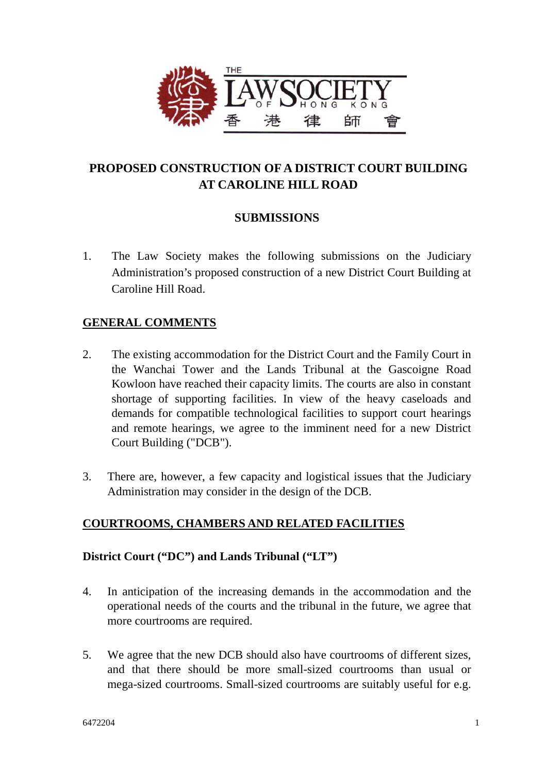

# **PROPOSED CONSTRUCTION OF A DISTRICT COURT BUILDING AT CAROLINE HILL ROAD**

# **SUBMISSIONS**

1. The Law Society makes the following submissions on the Judiciary Administration's proposed construction of a new District Court Building at Caroline Hill Road.

# **GENERAL COMMENTS**

- 2. The existing accommodation for the District Court and the Family Court in the Wanchai Tower and the Lands Tribunal at the Gascoigne Road Kowloon have reached their capacity limits. The courts are also in constant shortage of supporting facilities. In view of the heavy caseloads and demands for compatible technological facilities to support court hearings and remote hearings, we agree to the imminent need for a new District Court Building ("DCB").
- 3. There are, however, a few capacity and logistical issues that the Judiciary Administration may consider in the design of the DCB.

# **COURTROOMS, CHAMBERS AND RELATED FACILITIES**

# **District Court ("DC") and Lands Tribunal ("LT")**

- 4. In anticipation of the increasing demands in the accommodation and the operational needs of the courts and the tribunal in the future, we agree that more courtrooms are required.
- 5. We agree that the new DCB should also have courtrooms of different sizes, and that there should be more small-sized courtrooms than usual or mega-sized courtrooms. Small-sized courtrooms are suitably useful for e.g.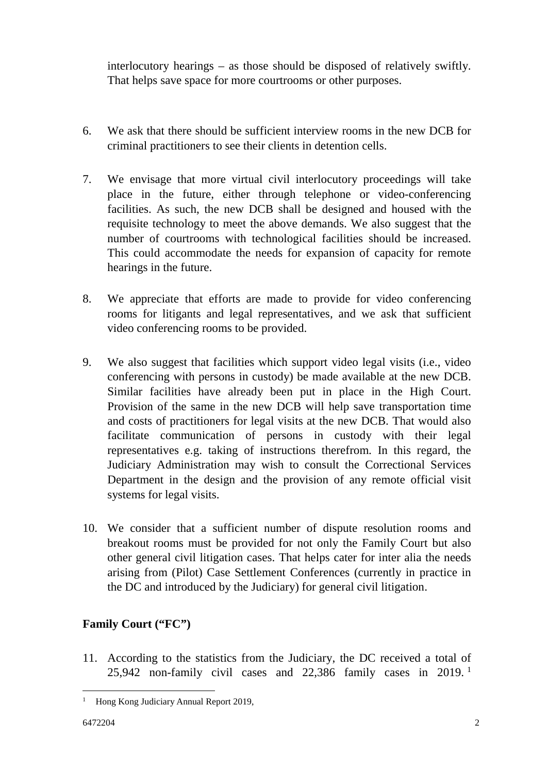interlocutory hearings – as those should be disposed of relatively swiftly. That helps save space for more courtrooms or other purposes.

- 6. We ask that there should be sufficient interview rooms in the new DCB for criminal practitioners to see their clients in detention cells.
- <span id="page-1-0"></span>7. We envisage that more virtual civil interlocutory proceedings will take place in the future, either through telephone or video-conferencing facilities. As such, the new DCB shall be designed and housed with the requisite technology to meet the above demands. We also suggest that the number of courtrooms with technological facilities should be increased. This could accommodate the needs for expansion of capacity for remote hearings in the future.
- 8. We appreciate that efforts are made to provide for video conferencing rooms for litigants and legal representatives, and we ask that sufficient video conferencing rooms to be provided.
- 9. We also suggest that facilities which support video legal visits (i.e., video conferencing with persons in custody) be made available at the new DCB. Similar facilities have already been put in place in the High Court. Provision of the same in the new DCB will help save transportation time and costs of practitioners for legal visits at the new DCB. That would also facilitate communication of persons in custody with their legal representatives e.g. taking of instructions therefrom. In this regard, the Judiciary Administration may wish to consult the Correctional Services Department in the design and the provision of any remote official visit systems for legal visits.
- 10. We consider that a sufficient number of dispute resolution rooms and breakout rooms must be provided for not only the Family Court but also other general civil litigation cases. That helps cater for inter alia the needs arising from (Pilot) Case Settlement Conferences (currently in practice in the DC and introduced by the Judiciary) for general civil litigation.

# **Family Court ("FC")**

11. According to the statistics from the Judiciary, the DC received a total of 25,942 non-family civil cases and 22,386 family cases in 2019. <sup>1</sup>

<sup>&</sup>lt;sup>1</sup> Hong Kong Judiciary Annual Report 2019,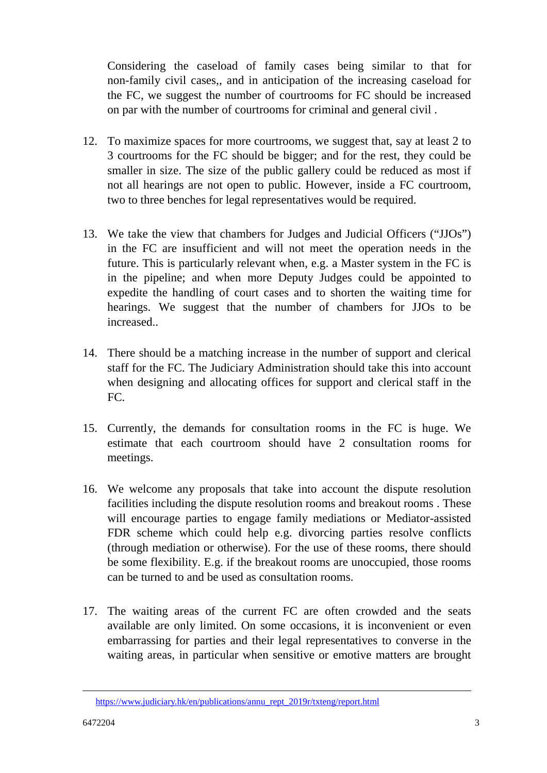Considering the caseload of family cases being similar to that for non-family civil cases,, and in anticipation of the increasing caseload for the FC, we suggest the number of courtrooms for FC should be increased on par with the number of courtrooms for criminal and general civil .

- 12. To maximize spaces for more courtrooms, we suggest that, say at least 2 to 3 courtrooms for the FC should be bigger; and for the rest, they could be smaller in size. The size of the public gallery could be reduced as most if not all hearings are not open to public. However, inside a FC courtroom, two to three benches for legal representatives would be required.
- 13. We take the view that chambers for Judges and Judicial Officers ("JJOs") in the FC are insufficient and will not meet the operation needs in the future. This is particularly relevant when, e.g. a Master system in the FC is in the pipeline; and when more Deputy Judges could be appointed to expedite the handling of court cases and to shorten the waiting time for hearings. We suggest that the number of chambers for JJOs to be increased..
- 14. There should be a matching increase in the number of support and clerical staff for the FC. The Judiciary Administration should take this into account when designing and allocating offices for support and clerical staff in the FC.
- 15. Currently, the demands for consultation rooms in the FC is huge. We estimate that each courtroom should have 2 consultation rooms for meetings.
- 16. We welcome any proposals that take into account the dispute resolution facilities including the dispute resolution rooms and breakout rooms . These will encourage parties to engage family mediations or Mediator-assisted FDR scheme which could help e.g. divorcing parties resolve conflicts (through mediation or otherwise). For the use of these rooms, there should be some flexibility. E.g. if the breakout rooms are unoccupied, those rooms can be turned to and be used as consultation rooms.
- 17. The waiting areas of the current FC are often crowded and the seats available are only limited. On some occasions, it is inconvenient or even embarrassing for parties and their legal representatives to converse in the waiting areas, in particular when sensitive or emotive matters are brought

<u>.</u>

[https://www.judiciary.hk/en/publications/annu\\_rept\\_2019r/txteng/report.html](https://www.judiciary.hk/en/publications/annu_rept_2019r/txteng/report.html)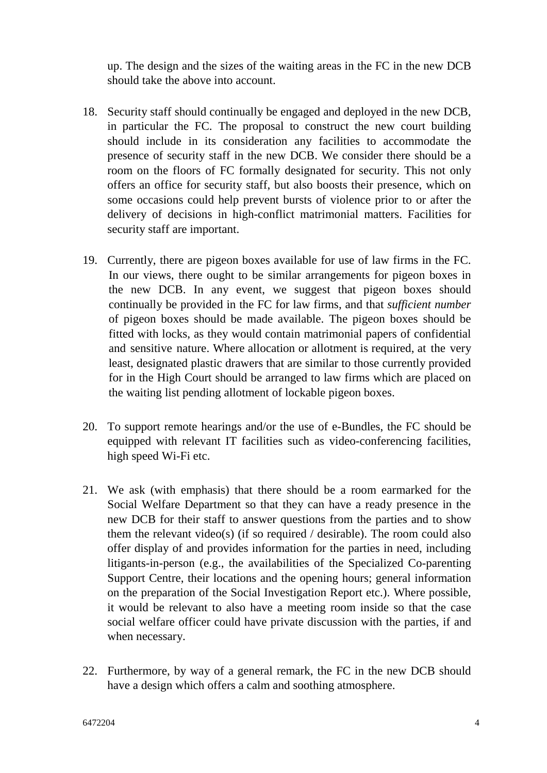up. The design and the sizes of the waiting areas in the FC in the new DCB should take the above into account.

- 18. Security staff should continually be engaged and deployed in the new DCB, in particular the FC. The proposal to construct the new court building should include in its consideration any facilities to accommodate the presence of security staff in the new DCB. We consider there should be a room on the floors of FC formally designated for security. This not only offers an office for security staff, but also boosts their presence, which on some occasions could help prevent bursts of violence prior to or after the delivery of decisions in high-conflict matrimonial matters. Facilities for security staff are important.
- 19. Currently, there are pigeon boxes available for use of law firms in the FC. In our views, there ought to be similar arrangements for pigeon boxes in the new DCB. In any event, we suggest that pigeon boxes should continually be provided in the FC for law firms, and that *sufficient number* of pigeon boxes should be made available. The pigeon boxes should be fitted with locks, as they would contain matrimonial papers of confidential and sensitive nature. Where allocation or allotment is required, at the very least, designated plastic drawers that are similar to those currently provided for in the High Court should be arranged to law firms which are placed on the waiting list pending allotment of lockable pigeon boxes.
- <span id="page-3-0"></span>20. To support remote hearings and/or the use of e-Bundles, the FC should be equipped with relevant IT facilities such as video-conferencing facilities, high speed Wi-Fi etc.
- 21. We ask (with emphasis) that there should be a room earmarked for the Social Welfare Department so that they can have a ready presence in the new DCB for their staff to answer questions from the parties and to show them the relevant video(s) (if so required  $\ell$  desirable). The room could also offer display of and provides information for the parties in need, including litigants-in-person (e.g., the availabilities of the Specialized Co-parenting Support Centre, their locations and the opening hours; general information on the preparation of the Social Investigation Report etc.). Where possible, it would be relevant to also have a meeting room inside so that the case social welfare officer could have private discussion with the parties, if and when necessary.
- 22. Furthermore, by way of a general remark, the FC in the new DCB should have a design which offers a calm and soothing atmosphere.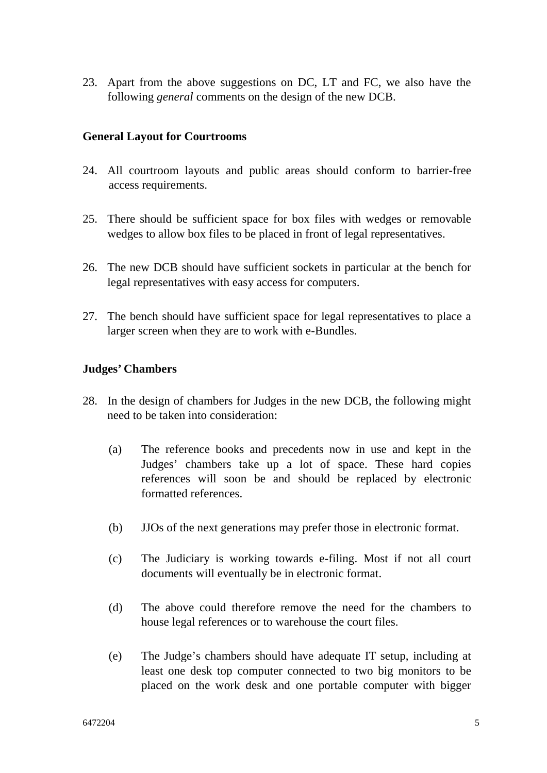23. Apart from the above suggestions on DC, LT and FC, we also have the following *general* comments on the design of the new DCB.

### **General Layout for Courtrooms**

- 24. All courtroom layouts and public areas should conform to barrier-free access requirements.
- 25. There should be sufficient space for box files with wedges or removable wedges to allow box files to be placed in front of legal representatives.
- 26. The new DCB should have sufficient sockets in particular at the bench for legal representatives with easy access for computers.
- 27. The bench should have sufficient space for legal representatives to place a larger screen when they are to work with e-Bundles.

### **Judges' Chambers**

- 28. In the design of chambers for Judges in the new DCB, the following might need to be taken into consideration:
	- (a) The reference books and precedents now in use and kept in the Judges' chambers take up a lot of space. These hard copies references will soon be and should be replaced by electronic formatted references.
	- (b) JJOs of the next generations may prefer those in electronic format.
	- (c) The Judiciary is working towards e-filing. Most if not all court documents will eventually be in electronic format.
	- (d) The above could therefore remove the need for the chambers to house legal references or to warehouse the court files.
	- (e) The Judge's chambers should have adequate IT setup, including at least one desk top computer connected to two big monitors to be placed on the work desk and one portable computer with bigger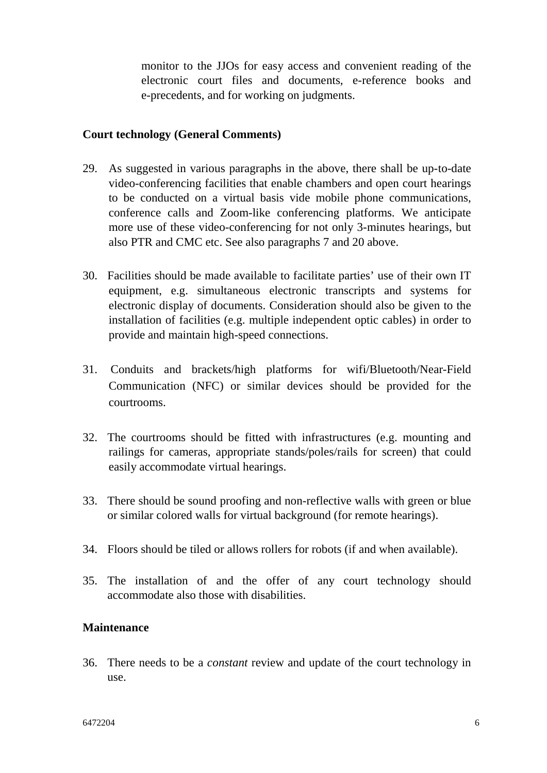monitor to the JJOs for easy access and convenient reading of the electronic court files and documents, e-reference books and e-precedents, and for working on judgments.

### **Court technology (General Comments)**

- 29. As suggested in various paragraphs in the above, there shall be up-to-date video-conferencing facilities that enable chambers and open court hearings to be conducted on a virtual basis vide mobile phone communications, conference calls and Zoom-like conferencing platforms. We anticipate more use of these video-conferencing for not only 3-minutes hearings, but also PTR and CMC etc. See also paragraphs [7](#page-1-0) and [20](#page-3-0) above.
- 30. Facilities should be made available to facilitate parties' use of their own IT equipment, e.g. simultaneous electronic transcripts and systems for electronic display of documents. Consideration should also be given to the installation of facilities (e.g. multiple independent optic cables) in order to provide and maintain high-speed connections.
- 31. Conduits and brackets/high platforms for wifi/Bluetooth/Near-Field Communication (NFC) or similar devices should be provided for the courtrooms.
- 32. The courtrooms should be fitted with infrastructures (e.g. mounting and railings for cameras, appropriate stands/poles/rails for screen) that could easily accommodate virtual hearings.
- 33. There should be sound proofing and non-reflective walls with green or blue or similar colored walls for virtual background (for remote hearings).
- 34. Floors should be tiled or allows rollers for robots (if and when available).
- 35. The installation of and the offer of any court technology should accommodate also those with disabilities.

### **Maintenance**

36. There needs to be a *constant* review and update of the court technology in use.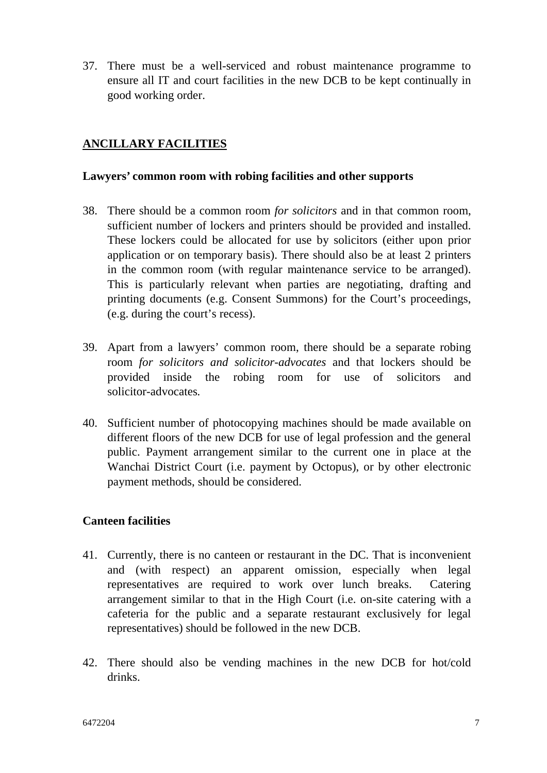37. There must be a well-serviced and robust maintenance programme to ensure all IT and court facilities in the new DCB to be kept continually in good working order.

# **ANCILLARY FACILITIES**

### **Lawyers' common room with robing facilities and other supports**

- 38. There should be a common room *for solicitors* and in that common room, sufficient number of lockers and printers should be provided and installed. These lockers could be allocated for use by solicitors (either upon prior application or on temporary basis). There should also be at least 2 printers in the common room (with regular maintenance service to be arranged). This is particularly relevant when parties are negotiating, drafting and printing documents (e.g. Consent Summons) for the Court's proceedings, (e.g. during the court's recess).
- 39. Apart from a lawyers' common room, there should be a separate robing room *for solicitors and solicitor-advocates* and that lockers should be provided inside the robing room for use of solicitors and solicitor-advocates*.*
- 40. Sufficient number of photocopying machines should be made available on different floors of the new DCB for use of legal profession and the general public. Payment arrangement similar to the current one in place at the Wanchai District Court (i.e. payment by Octopus), or by other electronic payment methods, should be considered.

### **Canteen facilities**

- 41. Currently, there is no canteen or restaurant in the DC. That is inconvenient and (with respect) an apparent omission, especially when legal representatives are required to work over lunch breaks. Catering arrangement similar to that in the High Court (i.e. on-site catering with a cafeteria for the public and a separate restaurant exclusively for legal representatives) should be followed in the new DCB.
- 42. There should also be vending machines in the new DCB for hot/cold drinks.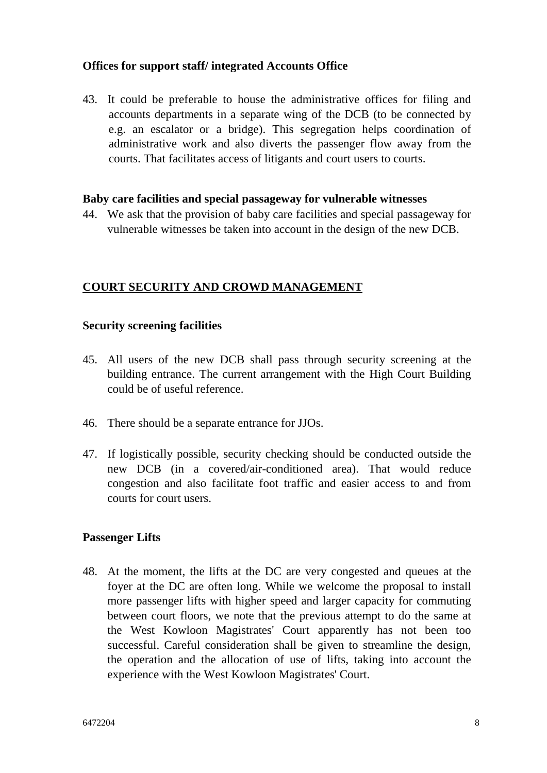# **Offices for support staff/ integrated Accounts Office**

<span id="page-7-0"></span>43. It could be preferable to house the administrative offices for filing and accounts departments in a separate wing of the DCB (to be connected by e.g. an escalator or a bridge). This segregation helps coordination of administrative work and also diverts the passenger flow away from the courts. That facilitates access of litigants and court users to courts.

#### **Baby care facilities and special passageway for vulnerable witnesses**

44. We ask that the provision of baby care facilities and special passageway for vulnerable witnesses be taken into account in the design of the new DCB.

# **COURT SECURITY AND CROWD MANAGEMENT**

### **Security screening facilities**

- 45. All users of the new DCB shall pass through security screening at the building entrance. The current arrangement with the High Court Building could be of useful reference.
- 46. There should be a separate entrance for JJOs.
- 47. If logistically possible, security checking should be conducted outside the new DCB (in a covered/air-conditioned area). That would reduce congestion and also facilitate foot traffic and easier access to and from courts for court users.

### **Passenger Lifts**

48. At the moment, the lifts at the DC are very congested and queues at the foyer at the DC are often long. While we welcome the proposal to install more passenger lifts with higher speed and larger capacity for commuting between court floors, we note that the previous attempt to do the same at the West Kowloon Magistrates' Court apparently has not been too successful. Careful consideration shall be given to streamline the design, the operation and the allocation of use of lifts, taking into account the experience with the West Kowloon Magistrates' Court.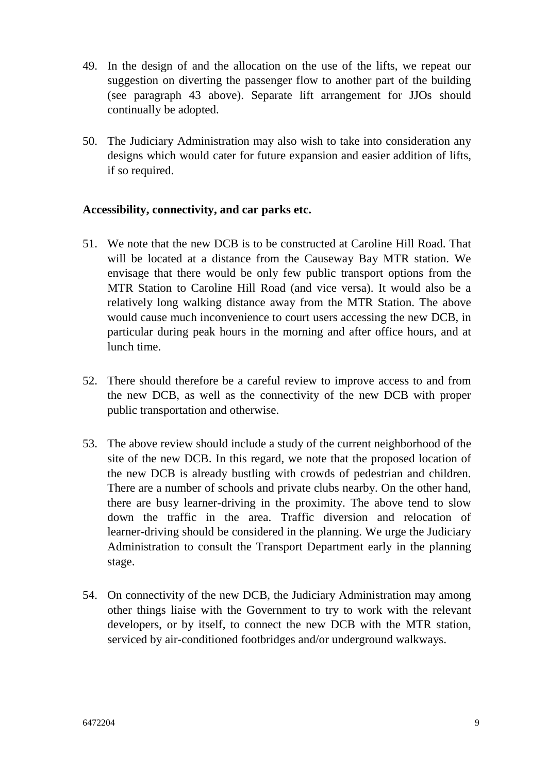- 49. In the design of and the allocation on the use of the lifts, we repeat our suggestion on diverting the passenger flow to another part of the building (see paragraph [43](#page-7-0) above). Separate lift arrangement for JJOs should continually be adopted.
- 50. The Judiciary Administration may also wish to take into consideration any designs which would cater for future expansion and easier addition of lifts, if so required.

### **Accessibility, connectivity, and car parks etc.**

- 51. We note that the new DCB is to be constructed at Caroline Hill Road. That will be located at a distance from the Causeway Bay MTR station. We envisage that there would be only few public transport options from the MTR Station to Caroline Hill Road (and vice versa). It would also be a relatively long walking distance away from the MTR Station. The above would cause much inconvenience to court users accessing the new DCB, in particular during peak hours in the morning and after office hours, and at lunch time.
- 52. There should therefore be a careful review to improve access to and from the new DCB, as well as the connectivity of the new DCB with proper public transportation and otherwise.
- 53. The above review should include a study of the current neighborhood of the site of the new DCB. In this regard, we note that the proposed location of the new DCB is already bustling with crowds of pedestrian and children. There are a number of schools and private clubs nearby. On the other hand, there are busy learner-driving in the proximity. The above tend to slow down the traffic in the area. Traffic diversion and relocation of learner-driving should be considered in the planning. We urge the Judiciary Administration to consult the Transport Department early in the planning stage.
- 54. On connectivity of the new DCB, the Judiciary Administration may among other things liaise with the Government to try to work with the relevant developers, or by itself, to connect the new DCB with the MTR station, serviced by air-conditioned footbridges and/or underground walkways.